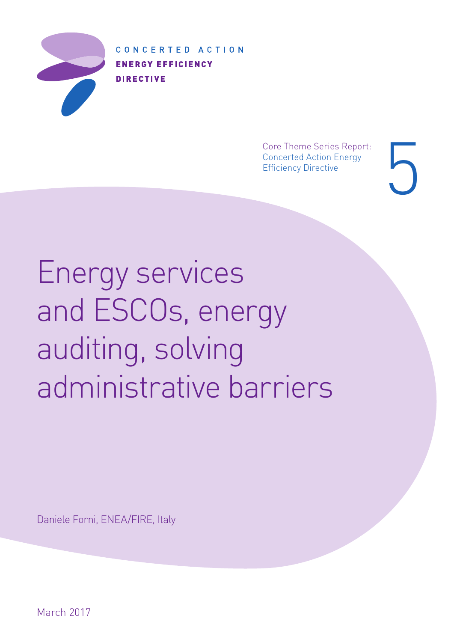

CONCERTED ACTION **ENERGY EFFICIENCY DIRECTIVE** 

> Core Theme Series Report: Concerted Action Energy Efficiency Directive

5

Energy services and ESCOs, energy auditing, solving administrative barriers

Daniele Forni, ENEA/FIRE, Italy

March 2017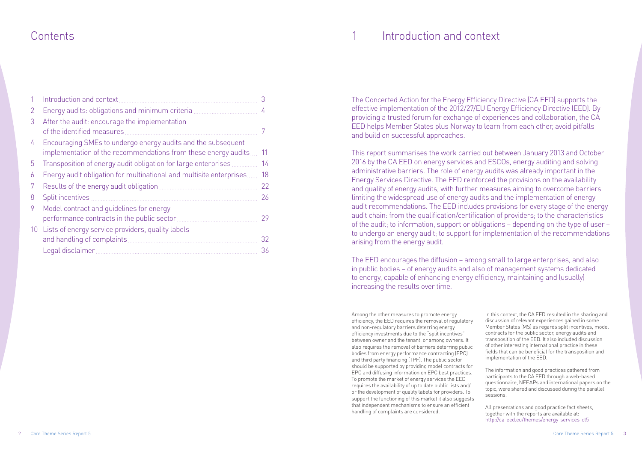Among the other measures to promote energy efficiency, the EED requires the removal of regulatory and non-regulatory barriers deterring energy efficiency investments due to the "split incentives" between owner and the tenant, or among owners. It also requires the removal of barriers deterring public bodies from energy performance contracting (EPC) and third party financing (TPF). The public sector should be supported by providing model contracts for EPC and diffusing information on EPC best practices. To promote the market of energy services the EED requires the availability of up to date public lists and/ or the development of quality labels for providers. To support the functioning of this market it also suggests that independent mechanisms to ensure an efficient handling of complaints are considered.

In this context, the CA EED resulted in the sharing and discussion of relevant experiences gained in some Member States (MS) as regards split incentives, model contracts for the public sector, energy audits and transposition of the EED. It also included discussion of other interesting international practice in these fields that can be beneficial for the transposition and implementation of the EED.

The information and good practices gathered from participants to the CA EED through a web-based questionnaire, NEEAPs and international papers on the topic, were shared and discussed during the parallel sessions.

All presentations and good practice fact sheets, together with the reports are available at: http://ca-eed.eu/themes/energy-services-ct5

The Concerted Action for the Energy Efficiency Directive (CA EED) supports the effective implementation of the 2012/27/EU Energy Efficiency Directive (EED). By providing a trusted forum for exchange of experiences and collaboration, the CA EED helps Member States plus Norway to learn from each other, avoid pitfalls and build on successful approaches.

This report summarises the work carried out between January 2013 and October 2016 by the CA EED on energy services and ESCOs, energy auditing and solving administrative barriers. The role of energy audits was already important in the Energy Services Directive. The EED reinforced the provisions on the availability and quality of energy audits, with further measures aiming to overcome barriers limiting the widespread use of energy audits and the implementation of energy audit recommendations. The EED includes provisions for every stage of the energy audit chain: from the qualification/certification of providers; to the characteristics of the audit; to information, support or obligations – depending on the type of user – to undergo an energy audit; to support for implementation of the recommendations arising from the energy audit.

The EED encourages the diffusion – among small to large enterprises, and also in public bodies – of energy audits and also of management systems dedicated to energy, capable of enhancing energy efficiency, maintaining and (usually) increasing the results over time.

### Contents 1 Introduction and context

|    | Introduction and context                                                                                                       | 3  |
|----|--------------------------------------------------------------------------------------------------------------------------------|----|
| 2  | Energy audits: obligations and minimum criteria                                                                                | 4  |
| 3  | After the audit: encourage the implementation<br>of the identified measures                                                    |    |
| 4  | Encouraging SMEs to undergo energy audits and the subsequent<br>implementation of the recommendations from these energy audits | 11 |
| 5  | Transposition of energy audit obligation for large enterprises                                                                 | 14 |
| 6  | Energy audit obligation for multinational and multisite enterprises                                                            | 18 |
| 7  |                                                                                                                                | 22 |
| 8  | Split incentives                                                                                                               | 26 |
| 9  | Model contract and guidelines for energy<br>performance contracts in the public sector                                         | 29 |
| 10 | Lists of energy service providers, quality labels<br>and handling of complaints.                                               | 32 |
|    | Legal disclaimer.                                                                                                              | 36 |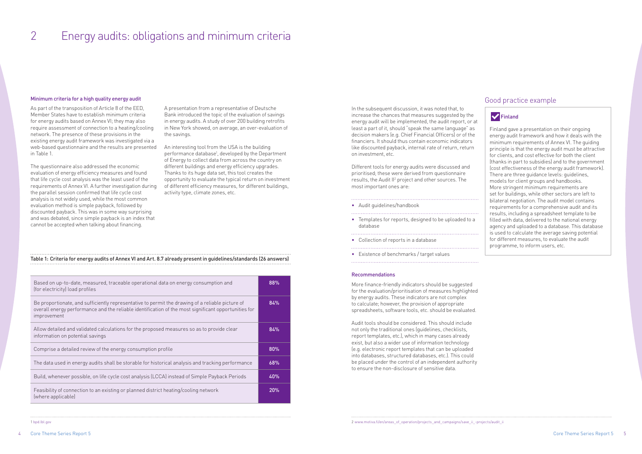# 2 Energy audits: obligations and minimum criteria

### Minimum criteria for a high quality energy audit

As part of the transposition of Article 8 of the EED, Member States have to establish minimum criteria for energy audits based on Annex VI; they may also require assessment of connection to a heating/cooling network. The presence of these provisions in the existing energy audit framework was investigated via a web-based questionnaire and the results are presented in Table 1.

The questionnaire also addressed the economic evaluation of energy efficiency measures and found that life cycle cost analysis was the least used of the requirements of Annex VI. A further investigation during the parallel session confirmed that life cycle cost analysis is not widely used, while the most common evaluation method is simple payback, followed by discounted payback. This was in some way surprising and was debated, since simple payback is an index that cannot be accepted when talking about financing.

A presentation from a representative of Deutsche Bank introduced the topic of the evaluation of savings in energy audits. A study of over 200 building retrofits in New York showed, on average, an over-evaluation of the savings.

An interesting tool from the USA is the building performance database<sup>1</sup>, developed by the Department of Energy to collect data from across the country on different buildings and energy efficiency upgrades. Thanks to its huge data set, this tool creates the opportunity to evaluate the typical return on investment of different efficiency measures, for different buildings, activity type, climate zones, etc.

In the subsequent discussion, it was noted that, to increase the chances that measures suggested by the energy audit will be implemented, the audit report, or at least a part of it, should "speak the same language" as decision makers (e.g. Chief Financial Officers) or of the financiers. It should thus contain economic indicators like discounted payback, internal rate of return, return on investment, etc.

Different tools for energy audits were discussed and prioritised; these were derived from questionnaire results, the Audit II<sup>2</sup> project and other sources. The most important ones are:

- Audit guidelines/handbook
- Templates for reports, designed to be uploaded to a database

- Collection of reports in a database
- 
- Existence of benchmarks / target values

#### Recommendations

More finance-friendly indicators should be suggested for the evaluation/prioritisation of measures highlighted by energy audits. These indicators are not complex to calculate; however, the provision of appropriate spreadsheets, software tools, etc. should be evaluated.

Audit tools should be considered. This should include not only the traditional ones (guidelines, checklists, report templates, etc.), which in many cases already exist, but also a wider use of information technology (e.g. electronic report templates that can be uploaded into databases, structured databases, etc.). This could be placed under the control of an independent authority to ensure the non-disclosure of sensitive data.

### Good practice example

### **V** Finland

Finland gave a presentation on their ongoing energy audit framework and how it deals with the minimum requirements of Annex VI. The guiding principle is that the energy audit must be attractive for clients, and cost effective for both the client (thanks in part to subsidies) and to the government (cost effectiveness of the energy audit framework). There are three guidance levels: guidelines, models for client groups and handbooks. More stringent minimum requirements are set for buildings, while other sectors are left to bilateral negotiation. The audit model contains requirements for a comprehensive audit and its results, including a spreadsheet template to be filled with data, delivered to the national energy agency and uploaded to a database. This database is used to calculate the average saving potential for different measures, to evaluate the audit programme, to inform users, etc.

### Table 1: Criteria for energy audits of Annex VI and Art. 8.7 already present in guidelines/standards (26 answers)

| 88% |
|-----|
| 84% |
| 84% |
| 80% |
| 68% |
| 40% |
| 20% |
|     |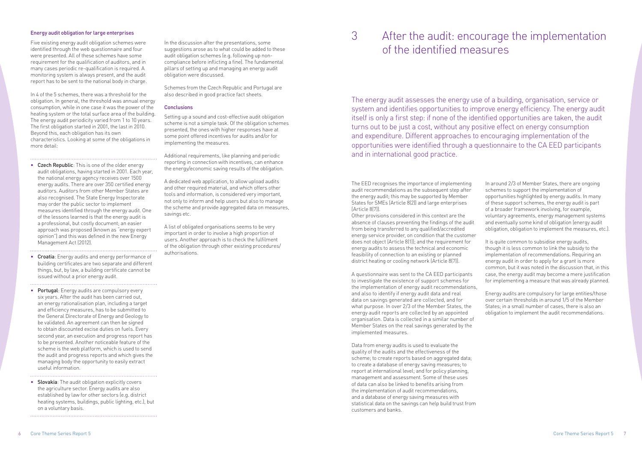# 3 After the audit: encourage the implementation

# of the identified measures

### Energy audit obligation for large enterprises

Five existing energy audit obligation schemes were identified through the web questionnaire and four were presented. All of these schemes have some requirement for the qualification of auditors, and in many cases periodic re-qualification is required. A monitoring system is always present, and the audit report has to be sent to the national body in charge.

In 4 of the 5 schemes, there was a threshold for the obligation. In general, the threshold was annual energy consumption, while in one case it was the power of the heating system or the total surface area of the building. The energy audit periodicity varied from 1 to 10 years. The first obligation started in 2001, the last in 2010. Beyond this, each obligation has its own characteristics. Looking at some of the obligations in more detail:

• Czech Republic: This is one of the older energy audit obligations, having started in 2001. Each year, the national energy agency receives over 1500 energy audits. There are over 350 certified energy auditors. Auditors from other Member States are also recognised. The State Energy Inspectorate may order the public sector to implement measures identified through the energy audit. One of the lessons learned is that the energy audit is a professional, but costly document; an easier approach was proposed (known as "energy expert opinion") and this was defined in the new Energy Management Act (2012).

• Croatia: Energy audits and energy performance of building certificates are two separate and different things, but, by law, a building certificate cannot be issued without a prior energy audit.

- Portugal: Energy audits are compulsory every six years. After the audit has been carried out, an energy rationalisation plan, including a target and efficiency measures, has to be submitted to the General Directorate of Energy and Geology to be validated. An agreement can then be signed to obtain discounted excise duties on fuels. Every second year, an execution and progress report has to be presented. Another noticeable feature of the scheme is the web platform, which is used to send the audit and progress reports and which gives the managing body the opportunity to easily extract useful information.
- Slovakia: The audit obligation explicitly covers the agriculture sector. Energy audits are also established by law for other sectors (e.g. district heating systems, buildings, public lighting, etc.), but on a voluntary basis.

In the discussion after the presentations, some suggestions arose as to what could be added to these audit obligation schemes (e.g. following up noncompliance before inflicting a fine). The fundamental pillars of setting up and managing an energy audit obligation were discussed.

Schemes from the Czech Republic and Portugal are also described in good practice fact sheets.

### **Conclusions**

Setting up a sound and cost-effective audit obligation scheme is not a simple task. Of the obligation schemes presented, the ones with higher responses have at some point offered incentives for audits and/or for implementing the measures.

Additional requirements, like planning and periodic reporting in connection with incentives, can enhance the energy/economic saving results of the obligation.

A dedicated web application, to allow upload audits and other required material, and which offers other tools and information, is considered very important, not only to inform and help users but also to manage the scheme and provide aggregated data on measures, savings etc.

A list of obligated organisations seems to be very important in order to involve a high proportion of users. Another approach is to check the fulfilment of the obligation through other existing procedures/ authorisations.

The energy audit assesses the energy use of a building, organisation, service or system and identifies opportunities to improve energy efficiency. The energy audit itself is only a first step: if none of the identified opportunities are taken, the audit turns out to be just a cost, without any positive effect on energy consumption and expenditure. Different approaches to encouraging implementation of the opportunities were identified through a questionnaire to the CA EED participants and in international good practice.

The EED recognises the importance of implementing audit recommendations as the subsequent step after the energy audit; this may be supported by Member States for SMEs (Article 8(2)) and large enterprises (Article 8(7)).

Other provisions considered in this context are the absence of clauses preventing the findings of the audit from being transferred to any qualified/accredited energy service provider, on condition that the customer does not object (Article 8(1)); and the requirement for energy audits to assess the technical and economic feasibility of connection to an existing or planned district heating or cooling network (Article 8(7)).

A questionnaire was sent to the CA EED participants to investigate the existence of support schemes for the implementation of energy audit recommendations, and also to identify if energy audit data and real data on savings generated are collected, and for what purpose. In over 2/3 of the Member States, the energy audit reports are collected by an appointed organisation. Data is collected in a similar number of Member States on the real savings generated by the implemented measures.

Data from energy audits is used to evaluate the quality of the audits and the effectiveness of the scheme; to create reports based on aggregated data; to create a database of energy saving measures; to report at international level; and for policy planning, management and assessment. Some of these uses of data can also be linked to benefits arising from the implementation of audit recommendations, and a database of energy saving measures with statistical data on the savings can help build trust from customers and banks.

In around 2/3 of Member States, there are ongoing schemes to support the implementation of opportunities highlighted by energy audits. In many of these support schemes, the energy audit is part of a broader framework involving, for example, voluntary agreements, energy management systems and eventually some kind of obligation (energy audit obligation, obligation to implement the measures, etc.).

It is quite common to subsidise energy audits, though it is less common to link the subsidy to the implementation of recommendations. Requiring an energy audit in order to apply for a grant is more common, but it was noted in the discussion that, in this case, the energy audit may become a mere justification for implementing a measure that was already planned.

Energy audits are compulsory for large entities/those over certain thresholds in around 1/5 of the Member States; in a small number of cases, there is also an obligation to implement the audit recommendations.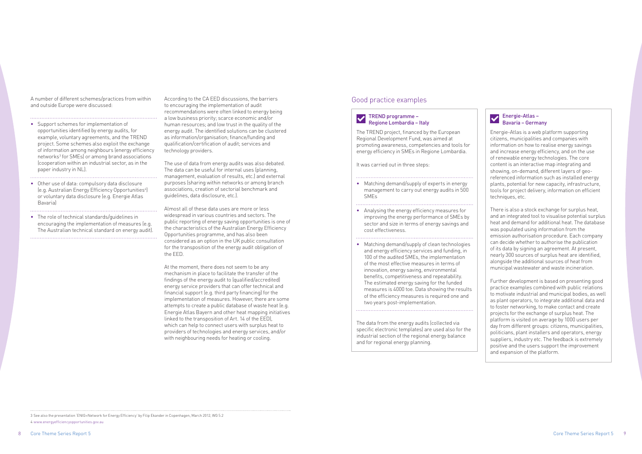A number of different schemes/practices from within and outside Europe were discussed:

- Support schemes for implementation of opportunities identified by energy audits, for example, voluntary agreements, and the TREND project. Some schemes also exploit the exchange of information among neighbours (energy efficiency networks<sup>3</sup> for SMEs) or among brand associations (cooperation within an industrial sector, as in the paper industry in NL).
- Other use of data: compulsory data disclosure (e.g. Australian Energy Efficiency Opportunities4 ) or voluntary data disclosure (e.g. Energie Atlas Bavaria)
- The role of technical standards/guidelines in encouraging the implementation of measures (e.g. The Australian technical standard on energy audit).

According to the CA EED discussions, the barriers to encouraging the implementation of audit recommendations were often linked to energy being a low business priority; scarce economic and/or human resources; and low trust in the quality of the energy audit. The identified solutions can be clustered as information/organisation; finance/funding and qualification/certification of audit; services and technology providers.

The use of data from energy audits was also debated. The data can be useful for internal uses (planning, management, evaluation of results, etc.) and external purposes (sharing within networks or among branch associations, creation of sectorial benchmark and guidelines, data disclosure, etc.).

- Matching demand/supply of experts in energy management to carry out energy audits in 500 **SME<sub>s</sub>**
- Analysing the energy efficiency measures for improving the energy performance of SMEs by sector and size in terms of energy savings and cost effectiveness.

Almost all of these data uses are more or less widespread in various countries and sectors. The public reporting of energy saving opportunities is one of the characteristics of the Australian Energy Efficiency Opportunities programme, and has also been considered as an option in the UK public consultation for the transposition of the energy audit obligation of the EED.

At the moment, there does not seem to be any mechanism in place to facilitate the transfer of the findings of the energy audit to (qualified/accredited) energy service providers that can offer technical and financial support (e.g. third party financing) for the implementation of measures. However, there are some attempts to create a public database of waste heat (e.g. Energie Atlas Bayern and other heat mapping initiatives linked to the transposition of Art. 14 of the EED), which can help to connect users with surplus heat to providers of technologies and energy services, and/or with neighbouring needs for heating or cooling.

3 See also the presentation 'ENIG=Network for Energy Efficiency' by Filip Ekander in Copenhagen, March 2012, WG 5.2 4 [www.energyefficiencyopportunities.gov.au](http://www.energyefficiencyopportunities.gov.au)

### Good practice examples

### TREND programme – Regione Lombardia – Italy

The TREND project, financed by the European Regional Development Fund, was aimed at promoting awareness, competencies and tools for energy efficiency in SMEs in Regione Lombardia.

It was carried out in three steps:

• Matching demand/supply of clean technologies and energy efficiency services and funding, in 100 of the audited SMEs, the implementation of the most effective measures in terms of innovation, energy saving, environmental benefits, competitiveness and repeatability. The estimated energy saving for the funded measures is 4000 toe. Data showing the results of the efficiency measures is required one and two years post-implementation.

The data from the energy audits (collected via specific electronic templates) are used also for the industrial section of the regional energy balance and for regional energy planning.

### Energie-Atlas – Bavaria – Germany

Energie-Atlas is a web platform supporting citizens, municipalities and companies with information on how to realise energy savings and increase energy efficiency, and on the use of renewable energy technologies. The core content is an interactive map integrating and showing, on-demand, different layers of georeferenced information such as installed energy plants, potential for new capacity, infrastructure, tools for project delivery, information on efficient techniques, etc.

There is also a stock exchange for surplus heat, and an integrated tool to visualise potential surplus heat and demand for additional heat. The database was populated using information from the emission authorisation procedure. Each company can decide whether to authorise the publication of its data by signing an agreement. At present, nearly 300 sources of surplus heat are identified, alongside the additional sources of heat from municipal wastewater and waste incineration.

Further development is based on presenting good practice examples combined with public relations to motivate industrial and municipal bodies, as well as plant operators, to integrate additional data and to foster networking, to make contact and create projects for the exchange of surplus heat. The platform is visited on average by 1000 users per day from different groups: citizens, municipalities, politicians, plant installers and operators, energy suppliers, industry etc. The feedback is extremely positive and the users support the improvement and expansion of the platform.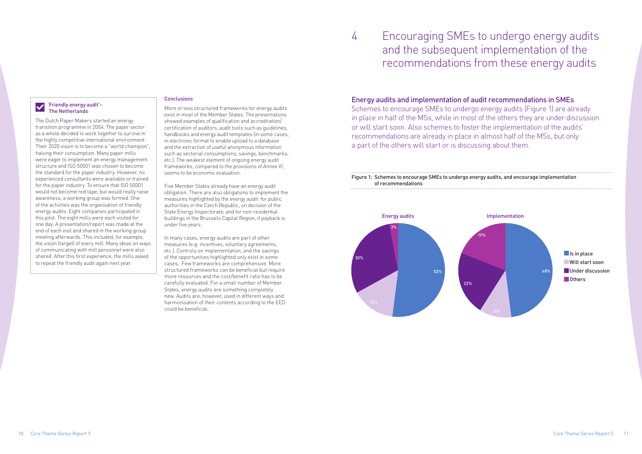### 4 Encouraging SMEs to undergo energy audits and the subsequent implementation of the recommendations from these energy audits

### 'Friendly energy audit'– The Netherlands

The Dutch Paper Makers started an energy transition programme in 2004. The paper sector as a whole decided to work together to survive in the highly competitive international environment. Their 2020 vision is to become a "world champion", halving their consumption. Many paper mills were eager to implement an energy management structure and ISO 50001 was chosen to become the standard for the paper industry. However, no experienced consultants were available or trained for the paper industry. To ensure that ISO 50001 would not become red tape, but would really raise awareness, a working group was formed. One of the activities was the organisation of friendly energy audits. Eight companies participated in this pilot. The eight mills were each visited for one day. A presentation/report was made at the end of each visit and shared in the working group meeting afterwards. This included, for example, the vision (target) of every mill. Many ideas on ways of communicating with mill personnel were also shared. After this first experience, the mills asked to repeat the friendly audit again next year.

### Conclusions

More or less structured frameworks for energy audits exist in most of the Member States. The presentations showed examples of qualification and accreditation/ certification of auditors, audit tools such as guidelines, handbooks and energy audit templates (in some cases, in electronic format to enable upload to a database and the extraction of useful anonymous information such as sectorial consumptions, savings, benchmarks, etc.). The weakest element of ongoing energy audit frameworks, compared to the provisions of Annex VI, seems to be economic evaluation.

Five Member States already have an energy audit obligation. There are also obligations to implement the measures highlighted by the energy audit: for public authorities in the Czech Republic, on decision of the State Energy Inspectorate; and for non-residential buildings in the Brussels Capital Region, if payback is under five years.

In many cases, energy audits are part of other measures (e.g. incentives, voluntary agreements, etc.). Controls on implementation, and the savings of the opportunities highlighted only exist in some cases. Few frameworks are comprehensive. More structured frameworks can be beneficial but require more resources and the cost/benefit ratio has to be carefully evaluated. For a small number of Member States, energy audits are something completely new. Audits are, however, used in different ways and harmonisation of their contents according to the EED could be beneficial.

### Energy audits and implementation of audit recommendations in SMEs

Schemes to encourage SMEs to undergo energy audits (Figure 1) are already in place in half of the MSs, while in most of the others they are under discussion or will start soon. Also schemes to foster the implementation of the audits' recommendations are already in place in almost half of the MSs, but only a part of the others will start or is discussing about them.



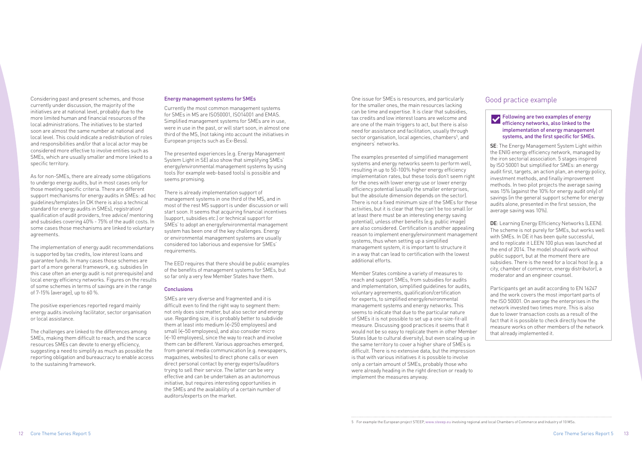Considering past and present schemes, and those currently under discussion, the majority of the initiatives are at national level, probably due to the more limited human and financial resources of the local administrations. The initiatives to be started soon are almost the same number at national and local level. This could indicate a redistribution of roles and responsibilities and/or that a local actor may be considered more effective to involve entities such as SMEs, which are usually smaller and more linked to a specific territory.

As for non-SMEs, there are already some obligations to undergo energy audits, but in most cases only for those meeting specific criteria. There are different support mechanisms for energy audits in SMEs: ad hoc guidelines/templates (in DK there is also a technical standard for energy audits in SMEs), registration/ qualification of audit providers, free advice/ mentoring and subsidies covering 40% - 75% of the audit costs. In some cases those mechanisms are linked to voluntary agreements.

The implementation of energy audit recommendations is supported by tax credits, low interest loans and guarantee funds. In many cases those schemes are part of a more general framework, e.g. subsidies (in this case often an energy audit is not prerequisite) and local energy efficiency networks. Figures on the results of some schemes in terms of savings are in the range of 7-15% (average), up to 60 %.

The positive experiences reported regard mainly energy audits involving facilitator, sector organisation or local assistance.

The challenges are linked to the differences among SMEs, making them difficult to reach, and the scarce resources SMEs can devote to energy efficiency, suggesting a need to simplify as much as possible the reporting obligation and bureaucracy to enable access to the sustaining framework.

### Energy management systems for SMEs

Currently the most common management systems for SMEs in MS are ISO50001, ISO14001 and EMAS. Simplified management systems for SMEs are in use, were in use in the past, or will start soon, in almost one third of the MS, (not taking into account the initiatives in European projects such as Ex-Bess).

The presented experiences (e.g. Energy Management System Light in SE) also show that simplifying SMEs' energy/environmental management systems by using tools (for example web-based tools) is possible and seems promising.

There is already implementation support of management systems in one third of the MS, and in most of the rest MS support is under discussion or will start soon. It seems that acquiring financial incentives (support, subsidies etc.) or technical support for SMEs' to adopt an energy/environmental management system has been one of the key challenges. Energy or environmental management systems are usually considered too laborious and expensive for SMEs' requirements.

The EED requires that there should be public examples of the benefits of management systems for SMEs, but so far only a very few Member States have them.

#### **Conclusions**

SMEs are very diverse and fragmented and it is difficult even to find the right way to segment them: not only does size matter, but also sector and energy use. Regarding size, it is probably better to subdivide them at least into medium  $\leq$  250 employees) and small (<50 employees), and also consider micro (<10 employees), since the way to reach and involve them can be different. Various approaches emerged, from general media communication (e.g. newspapers, magazines, websites) to direct phone calls or even direct personal contact by energy experts/auditors trying to sell their service. The latter can be very effective and can be undertaken as an autonomous initiative, but requires interesting opportunities in the SMEs and the availability of a certain number of auditors/experts on the market.

### Good practice example

### Following are two examples of energy efficiency networks, also linked to the implementation of energy management systems, and the first specific for SMEs.

SE: The Energy Management System Light within the ENIG energy efficiency network, managed by the iron sectorial association. 5 stages inspired by ISO 50001 but simplified for SMEs: an energy audit first, targets, an action plan, an energy policy, investment methods, and finally improvement methods. In two pilot projects the average saving was 15% (against the 10% for energy audit only) of savings (in the general support scheme for energy audits alone, presented in the first session, the average saving was 10%).

DE: Learning Energy Efficiency Networks (LEEN). The scheme is not purely for SMEs, but works well with SMEs. In DE it has been quite successful. and to replicate it LEEN 100 plus was launched at the end of 2014. The model should work without public support, but at the moment there are subsidies. There is the need for a local host (e.g. a city, chamber of commerce, energy distributor), a moderator and an engineer counsel.

Participants get an audit according to EN 16247 and the work covers the most important parts of the ISO 50001. On average the enterprises in the network invested two times more. This is also due to lower transaction costs as a result of the fact that it is possible to check directly how the measure works on other members of the network that already implemented it.

One issue for SMEs is resources, and particularly for the smaller ones, the main resources lacking can be time and expertise. It is clear that subsidies, tax credits and low interest loans are welcome and are one of the main triggers to act, but there is also need for assistance and facilitation, usually through sector organisation, local agencies, chambers<sup>5</sup>, and engineers' networks.

The examples presented of simplified management systems and energy networks seem to perform well, resulting in up to 50-100% higher energy efficiency implementation rates, but these tools don't seem right for the ones with lower energy use or lower energy efficiency potential (usually the smaller enterprises, but the absolute dimension depends on the sector). There is not a fixed minimum size of the SMEs for these activities, but it is clear that they can't be too small (or at least there must be an interesting energy saving potential), unless other benefits (e.g. public image) are also considered. Certification is another appealing reason to implement energy/environment management systems, thus when setting up a simplified management system, it is important to structure it in a way that can lead to certification with the lowest additional efforts.

Member States combine a variety of measures to reach and support SMEs, from subsidies for audits and implementation, simplified guidelines for audits, voluntary agreements, qualification/certification for experts, to simplified energy/environmental management systems and energy networks. This seems to indicate that due to the particular nature of SMEs it is not possible to set up a one-size-fit-all measure. Discussing good practices it seems that it would not be so easy to replicate them in other Member States (due to cultural diversity), but even scaling up in the same territory to cover a higher share of SMEs is difficult. There is no extensive data, but the impression is that with various initiatives it is possible to involve only a certain amount of SMEs, probably those who were already heading in the right direction or ready to implement the measures anyway.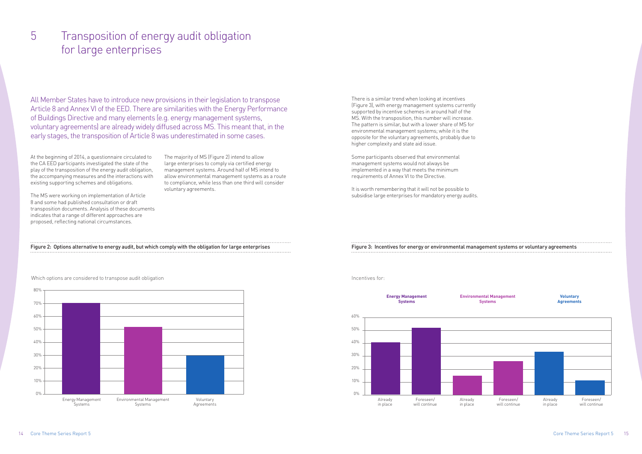There is a similar trend when looking at incentives (Figure 3), with energy management systems currently supported by incentive schemes in around half of the MS. With the transposition, this number will increase. The pattern is similar, but with a lower share of MS for environmental management systems; while it is the opposite for the voluntary agreements, probably due to higher complexity and state aid issue.

Some participants observed that environmental management systems would not always be implemented in a way that meets the minimum requirements of Annex VI to the Directive.

It is worth remembering that it will not be possible to subsidise large enterprises for mandatory energy audits.

Which options are considered to transpose audit obligation **Incentives for example of the example of the example of the example of the example of the example of the example of the example of the example of the example of t** 



At the beginning of 2014, a questionnaire circulated to the CA EED participants investigated the state of the play of the transposition of the energy audit obligation, the accompanying measures and the interactions with existing supporting schemes and obligations.

The MS were working on implementation of Article 8 and some had published consultation or draft transposition documents. Analysis of these documents indicates that a range of different approaches are proposed, reflecting national circumstances.

The majority of MS (Figure 2) intend to allow large enterprises to comply via certified energy management systems. Around half of MS intend to allow environmental management systems as a route to compliance, while less than one third will consider voluntary agreements.

### 5 Transposition of energy audit obligation for large enterprises

All Member States have to introduce new provisions in their legislation to transpose Article 8 and Annex VI of the EED. There are similarities with the Energy Performance of Buildings Directive and many elements (e.g. energy management systems, voluntary agreements) are already widely diffused across MS. This meant that, in the early stages, the transposition of Article 8 was underestimated in some cases.

Figure 2: Options alternative to energy audit, but which comply with the obligation for large enterprises



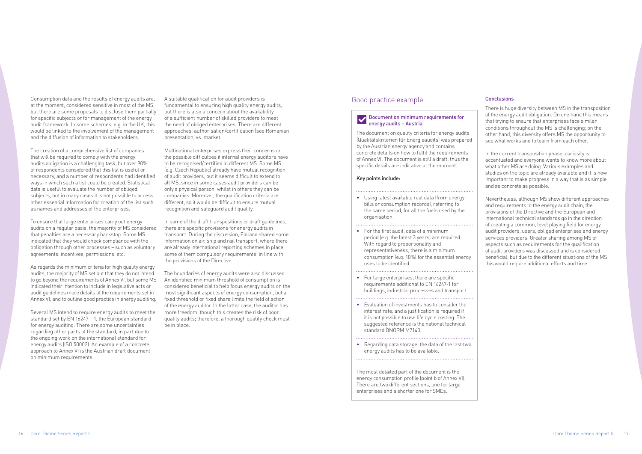Consumption data and the results of energy audits are, at the moment, considered sensitive in most of the MS, but there are some proposals to disclose them partially for specific subjects or for management of the energy audit framework. In some schemes, e.g. in the UK, this would be linked to the involvement of the management and the diffusion of information to stakeholders.

The creation of a comprehensive list of companies that will be required to comply with the energy audits obligation is a challenging task, but over 90% of respondents considered that this list is useful or necessary, and a number of respondents had identified ways in which such a list could be created. Statistical data is useful to evaluate the number of obliged subjects, but in many cases it is not possible to access other essential information for creation of the list such as names and addresses of the enterprises.

To ensure that large enterprises carry out energy audits on a regular basis, the majority of MS considered that penalties are a necessary backstop. Some MS indicated that they would check compliance with the obligation through other processes – such as voluntary agreements, incentives, permissions, etc.

As regards the minimum criteria for high quality energy audits, the majority of MS set out that they do not intend to go beyond the requirements of Annex VI, but some MS indicated their intention to include in legislative acts or audit guidelines more details of the requirements set in Annex VI, and to outline good practice in energy auditing.

Several MS intend to require energy audits to meet the standard set by EN 16247 – 1, the European standard for energy auditing. There are some uncertainties regarding other parts of the standard, in part due to the ongoing work on the international standard for energy audits (ISO 50002). An example of a concrete approach to Annex VI is the Austrian draft document on minimum requirements.

A suitable qualification for audit providers is fundamental to ensuring high quality energy audits, but there is also a concern about the availability of a sufficient number of skilled providers to meet the need of obliged enterprises. There are different approaches: authorisation/certification (see Romanian presentation) vs. market.

Multinational enterprises express their concerns on the possible difficulties if internal energy auditors have to be recognised/certified in different MS. Some MS (e.g. Czech Republic) already have mutual recognition of audit providers, but it seems difficult to extend to all MS, since in some cases audit providers can be only a physical person, whilst in others they can be companies. Moreover, the qualification criteria are different, so it would be difficult to ensure mutual recognition and safeguard audit quality.

In some of the draft transpositions or draft guidelines, there are specific provisions for energy audits in transport. During the discussion, Finland shared some information on air, ship and rail transport, where there are already international reporting schemes in place, some of them compulsory requirements, in line with the provisions of the Directive.

The boundaries of energy audits were also discussed. An identified minimum threshold of consumption is considered beneficial to help focus energy audits on the most significant aspects of energy consumption, but a fixed threshold or fixed share limits the field of action of the energy auditor. In the latter case, the auditor has more freedom, though this creates the risk of poor quality audits; therefore, a thorough quality check must be in place.

### Conclusions

There is huge diversity between MS in the transposition of the energy audit obligation. On one hand this means that trying to ensure that enterprises face similar conditions throughout the MS is challenging; on the other hand, this diversity offers MS the opportunity to see what works and to learn from each other.

In the current transposition phase, curiosity is accentuated and everyone wants to know more about what other MS are doing. Various examples and studies on the topic are already available and it is now important to make progress in a way that is as simple and as concrete as possible.

Nevertheless, although MS show different approaches and requirements to the energy audit chain, the provisions of the Directive and the European and international technical standards go in the direction of creating a common, level playing field for energy audit providers, users, obliged enterprises and energy services providers. Greater sharing among MS of aspects such as requirements for the qualification of audit providers was discussed and is considered beneficial, but due to the different situations of the MS this would require additional efforts and time.

### Good practice example

### Document on minimum requirements for energy audits – Austria

The document on quality criteria for energy audits (Qualitätskriterien für Energieaudits) was prepared by the Austrian energy agency and contains concrete details on how to fulfil the requirements of Annex VI. The document is still a draft, thus the specific details are indicative at the moment.

### Key points include:

### • Using latest available real data (from energy bills or consumption records), referring to the same period, for all the fuels used by the organisation.

• For the first audit, data of a minimum period (e.g. the latest 3 years) are required. With regard to proportionality and representativeness, there is a minimum consumption (e.g. 10%) for the essential energy uses to be identified.

• For large enterprises, there are specific requirements additional to EN 16247-1 for buildings, industrial processes and transport

- Evaluation of investments has to consider the interest rate, and a justification is required if it is not possible to use life cycle costing. The suggested reference is the national technical standard ÖNORM M7140.
- Regarding data storage, the data of the last two energy audits has to be available.

The most detailed part of the document is the energy consumption profile (point b of Annex VI). There are two different sections, one for large enterprises and a shorter one for SMEs.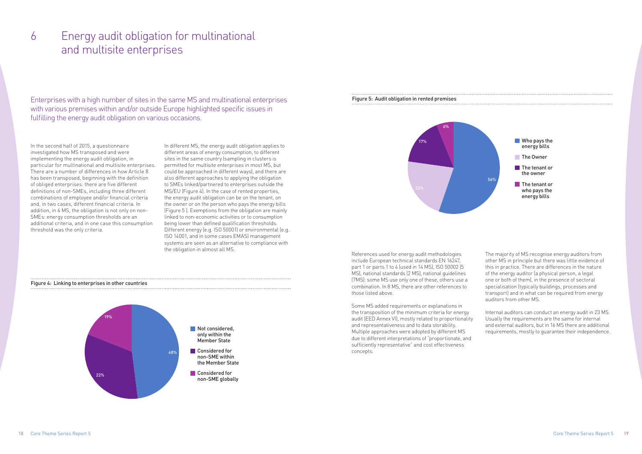In the second half of 2015, a questionnaire investigated how MS transposed and were implementing the energy audit obligation, in particular for multinational and multisite enterprises. There are a number of differences in how Article 8 has been transposed, beginning with the definition of obliged enterprises: there are five different definitions of non-SMEs, including three different combinations of employee and/or financial criteria and, in two cases, different financial criteria. In addition, in 6 MS, the obligation is not only on non-SMEs: energy consumption thresholds are an additional criteria, and in one case this consumption threshold was the only criteria.

In different MS, the energy audit obligation applies to different areas of energy consumption, to different sites in the same country (sampling in clusters is permitted for multisite enterprises in most MS, but could be approached in different ways), and there are also different approaches to applying the obligation to SMEs linked/partnered to enterprises outside the MS/EU (Figure 4). In the case of rented properties, the energy audit obligation can be on the tenant, on the owner or on the person who pays the energy bills (Figure 5 ). Exemptions from the obligation are mainly linked to non-economic activities or to consumption being lower than defined qualification thresholds. Different energy (e.g. ISO 50001) or environmental (e.g. ISO 14001, and in some cases EMAS) management systems are seen as an alternative to compliance with the obligation in almost all MS.

### 6 Energy audit obligation for multinational and multisite enterprises

Enterprises with a high number of sites in the same MS and multinational enterprises with various premises within and/or outside Europe highlighted specific issues in fulfilling the energy audit obligation on various occasions.

### Figure 4: Linking to enterprises in other countries





### Figure 5: Audit obligation in rented premises



17%

6%

References used for energy audit methodologies include European technical standards EN 16247, part 1 or parts 1 to 4 (used in 14 MS), ISO 50002 (5 MS), national standards (2 MS), national guidelines (7MS): some MS use only one of these, others use a combination. In 8 MS, there are other references to those listed above.

Some MS added requirements or explanations in the transposition of the minimum criteria for energy audit (EED Annex VI), mostly related to proportionality and representativeness and to data storability. Multiple approaches were adopted by different MS due to different interpretations of "proportionate, and sufficiently representative" and cost effectiveness concepts.

The majority of MS recognise energy auditors from other MS in principle but there was little evidence of this in practice. There are differences in the nature of the energy auditor (a physical person, a legal one or both of them), in the presence of sectoral specialisation (typically buildings, processes and transport) and in what can be required from energy auditors from other MS.

Internal auditors can conduct an energy audit in 23 MS. Usually the requirements are the same for internal and external auditors, but in 16 MS there are additional requirements, mostly to guarantee their independence.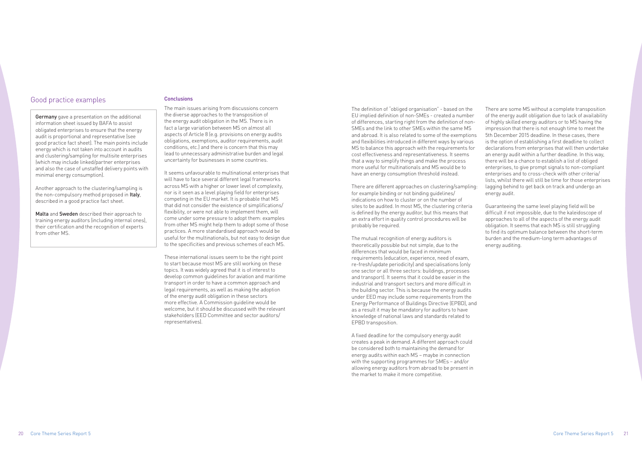### Good practice examples

**Germany** gave a presentation on the additional information sheet issued by BAFA to assist obligated enterprises to ensure that the energy audit is proportional and representative (see good practice fact sheet). The main points include energy which is not taken into account in audits and clustering/sampling for multisite enterprises (which may include linked/partner enterprises and also the case of unstaffed delivery points with minimal energy consumption).

Malta and Sweden described their approach to training energy auditors (including internal ones), their certification and the recognition of experts from other MS.

Another approach to the clustering/sampling is the non-compulsory method proposed in Italy. described in a good practice fact sheet.

### Conclusions

The main issues arising from discussions concern the diverse approaches to the transposition of the energy audit obligation in the MS. There is in fact a large variation between MS on almost all aspects of Article 8 (e.g. provisions on energy audits obligations, exemptions, auditor requirements, audit conditions, etc.) and there is concern that this may lead to unnecessary administrative burden and legal uncertainty for businesses in some countries.

It seems unfavourable to multinational enterprises that will have to face several different legal frameworks across MS with a higher or lower level of complexity, nor is it seen as a level playing field for enterprises competing in the EU market. It is probable that MS that did not consider the existence of simplifications/ flexibility, or were not able to implement them, will come under some pressure to adopt them: examples from other MS might help them to adopt some of those practices. A more standardised approach would be useful for the multinationals, but not easy to design due to the specificities and previous schemes of each MS.

These international issues seem to be the right point to start because most MS are still working on these topics. It was widely agreed that it is of interest to develop common guidelines for aviation and maritime transport in order to have a common approach and legal requirements, as well as making the adoption of the energy audit obligation in these sectors more effective. A Commission guideline would be welcome, but it should be discussed with the relevant stakeholders (EED Committee and sector auditors/ representatives).

The definition of "obliged organisation" - based on the EU implied definition of non-SMEs - created a number of differences, starting right from the definition of non-SMEs and the link to other SMEs within the same MS and abroad. It is also related to some of the exemptions and flexibilities introduced in different ways by various MS to balance this approach with the requirements for cost effectiveness and representativeness. It seems that a way to simplify things and make the process more useful for multinationals and MS would be to have an energy consumption threshold instead.

There are different approaches on clustering/sampling: for example binding or not binding guidelines/ indications on how to cluster or on the number of sites to be audited. In most MS, the clustering criteria is defined by the energy auditor, but this means that an extra effort in quality control procedures will be probably be required.

The mutual recognition of energy auditors is theoretically possible but not simple, due to the differences that would be faced in minimum requirements (education, experience, need of exam, re-fresh/update periodicity) and specialisations (only one sector or all three sectors: buildings, processes and transport). It seems that it could be easier in the industrial and transport sectors and more difficult in the building sector. This is because the energy audits under EED may include some requirements from the Energy Performance of Buildings Directive (EPBD), and as a result it may be mandatory for auditors to have knowledge of national laws and standards related to EPBD transposition.

A fixed deadline for the compulsory energy audit creates a peak in demand. A different approach could be considered both to maintaining the demand for energy audits within each MS – maybe in connection with the supporting programmes for SMEs – and/or allowing energy auditors from abroad to be present in the market to make it more competitive.

There are some MS without a complete transposition of the energy audit obligation due to lack of availability of highly skilled energy auditors or to MS having the impression that there is not enough time to meet the 5th December 2015 deadline. In these cases, there is the option of establishing a first deadline to collect declarations from enterprises that will then undertake an energy audit within a further deadline. In this way, there will be a chance to establish a list of obliged enterprises, to give prompt signals to non-compliant enterprises and to cross-check with other criteria/ lists, whilst there will still be time for those enterprises lagging behind to get back on track and undergo an energy audit.

Guaranteeing the same level playing field will be difficult if not impossible, due to the kaleidoscope of approaches to all of the aspects of the energy audit obligation. It seems that each MS is still struggling to find its optimum balance between the short-term burden and the medium-long term advantages of energy auditing.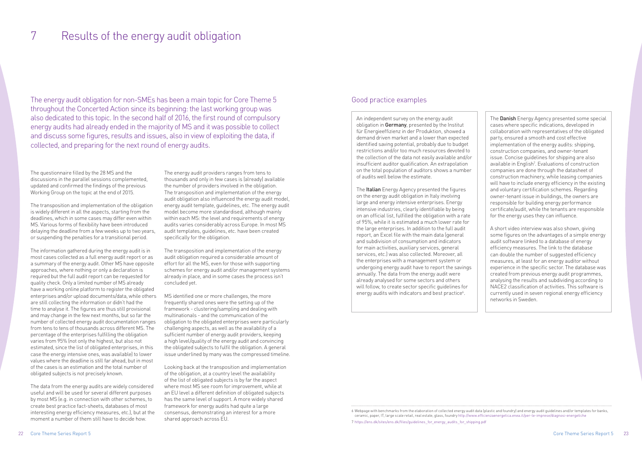The questionnaire filled by the 28 MS and the discussions in the parallel sessions complemented, updated and confirmed the findings of the previous Working Group on the topic at the end of 2015.

The transposition and implementation of the obligation is widely different in all the aspects, starting from the deadlines, which in some cases may differ even within MS. Various forms of flexibility have been introduced delaying the deadline from a few weeks up to two years, or suspending the penalties for a transitional period.

The information gathered during the energy audit is in most cases collected as a full energy audit report or as a summary of the energy audit. Other MS have opposite approaches, where nothing or only a declaration is required but the full audit report can be requested for quality check. Only a limited number of MS already have a working online platform to register the obligated enterprises and/or upload documents/data, while others are still collecting the information or didn't had the time to analyse it. The figures are thus still provisional and may change in the few next months, but so far the number of collected energy audit documentation ranges from tens to tens of thousands across different MS. The percentage of the enterprises fulfilling the obligation varies from 95% (not only the highest, but also not estimated, since the list of obligated enterprises, in this case the energy intensive ones, was available) to lower values where the deadline is still far ahead, but in most of the cases is an estimation and the total number of obligated subjects is not precisely known.

The data from the energy audits are widely considered useful and will be used for several different purposes by most MS (e.g. in connection with other schemes, to create best practice fact-sheets, databases of most interesting energy efficiency measures, etc.), but at the moment a number of them still have to decide how.

6 Webpage with benchmarks from the elaboration of collected energy audit data (plastic and foundry) and energy audit guidelines and/or templates for banks, ceramic, paper, IT, large scale retail, real estate, glass, foundry http://www.efficienzaenergetica.enea.it/per-le-imprese/diagnosi-energetiche 7 https://ens.dk/sites/ens.dk/files/guidelines\_for\_energy\_audits\_for\_shipping.pdf

The energy audit providers ranges from tens to thousands and only in few cases is (already) available the number of providers involved in the obligation. The transposition and implementation of the energy audit obligation also influenced the energy audit model, energy audit template, guidelines, etc. The energy audit model become more standardised, although mainly within each MS: the level and requirements of energy audits varies considerably across Europe. In most MS audit templates, guidelines, etc. have been created specifically for the obligation.

The transposition and implementation of the energy audit obligation required a considerable amount of effort for all the MS, even for those with supporting schemes for energy audit and/or management systems already in place, and in some cases the process isn't concluded yet.

MS identified one or more challenges, the more frequently shared ones were the setting up of the framework - clustering/sampling and dealing with multinationals - and the communication of the obligation to the obligated enterprises were particularly challenging aspects, as well as the availability of a sufficient number of energy audit providers, keeping a high level/quality of the energy audit and convincing the obligated subjects to fulfil the obligation. A general issue underlined by many was the compressed timeline. The **Danish** Energy Agency presented some special cases where specific indications, developed in collaboration with representatives of the obligated party, ensured a smooth and cost effective implementation of the energy audits: shipping, construction companies, and owner-tenant issue. Concise guidelines for shipping are also available in English<sup>7</sup>. Evaluations of construction companies are done through the datasheet of construction machinery, while leasing companies will have to include energy efficiency in the existing and voluntary certification schemes. Regarding owner-tenant issue in buildings, the owners are responsible for building energy performance certificate/audit, while the tenants are responsible for the energy uses they can influence.

Looking back at the transposition and implementation of the obligation, at a country level the availability of the list of obligated subjects is by far the aspect where most MS see room for improvement, while at an EU level a different definition of obligated subjects has the same level of support. A more widely shared framework for energy audits had quite a large consensus, demonstrating an interest for a more shared approach across EU.

## 7 Results of the energy audit obligation

The energy audit obligation for non-SMEs has been a main topic for Core Theme 5 throughout the Concerted Action since its beginning: the last working group was also dedicated to this topic. In the second half of 2016, the first round of compulsory energy audits had already ended in the majority of MS and it was possible to collect and discuss some figures, results and issues, also in view of exploiting the data, if collected, and preparing for the next round of energy audits.

### Good practice examples

An independent survey on the energy audit obligation in Germany, presented by the Institut für Energieeffizienz in der Produktion, showed a demand driven market and a lower than expected identified saving potential, probably due to budget restrictions and/or too much resources devoted to the collection of the data not easily available and/or insufficient auditor qualification. An extrapolation on the total population of auditors shows a number of audits well below the estimate.

The Italian Energy Agency presented the figures on the energy audit obligation in Italy involving large and energy intensive enterprises. Energy intensive industries, clearly identifiable by being on an official list, fulfilled the obligation with a rate of 95%, while it is estimated a much lower rate for the large enterprises. In addition to the full audit report, an Excel file with the main data (general and subdivision of consumption and indicators for main activities, auxiliary services, general services, etc.) was also collected. Moreover, all the enterprises with a management system or undergoing energy audit have to report the savings annually. The data from the energy audit were already analysed for some sectors and others will follow, to create sector specific guidelines for energy audits with indicators and best practice<sup>6</sup>.

A short video interview was also shown, giving some figures on the advantages of a simple energy audit software linked to a database of energy efficiency measures. The link to the database can double the number of suggested efficiency measures, at least for an energy auditor without experience in the specific sector. The database was created from previous energy audit programmes, analysing the results and subdividing according to NACE2 classification of activities. This software is currently used in seven regional energy efficiency networks in Sweden.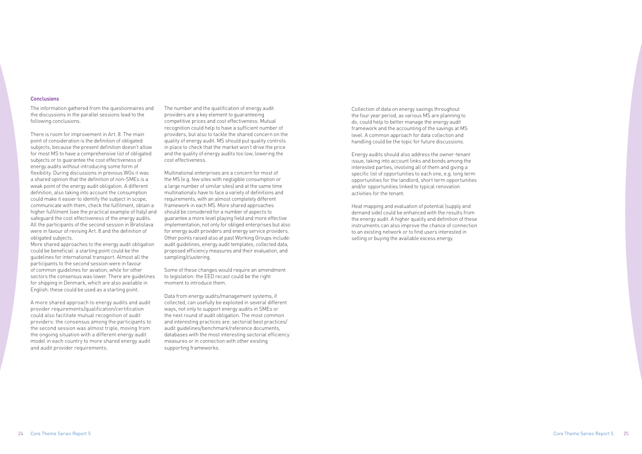#### Conclusions

The information gathered from the questionnaires and the discussions in the parallel sessions lead to the following conclusions.

There is room for improvement in Art. 8. The main point of consideration is the definition of obligated subjects, because the present definition doesn't allow for most MS to have a comprehensive list of obligated subjects or to guarantee the cost effectiveness of energy audits without introducing some form of flexibility. During discussions in previous WGs it was a shared opinion that the definition of non-SMEs is a weak point of the energy audit obligation. A different definition, also taking into account the consumption could make it easier to identify the subject in scope, communicate with them, check the fulfilment, obtain a higher fulfilment (see the practical example of Italy) and safeguard the cost effectiveness of the energy audits. All the participants of the second session in Bratislava were in favour of revising Art. 8 and the definition of obligated subjects.

More shared approaches to the energy audit obligation could be beneficial: a starting point could be the guidelines for international transport. Almost all the participants to the second session were in favour of common guidelines for aviation, while for other sectors the consensus was lower. There are guidelines for shipping in Denmark, which are also available in English: these could be used as a starting point.

A more shared approach to energy audits and audit provider requirements/qualification/certification could also facilitate mutual recognition of audit providers: the consensus among the participants to the second session was almost triple, moving from the ongoing situation with a different energy audit model in each country to more shared energy audit and audit provider requirements.

The number and the qualification of energy audit providers are a key element to guaranteeing competitive prices and cost effectiveness. Mutual recognition could help to have a sufficient number of providers, but also to tackle the shared concern on the quality of energy audit. MS should put quality controls in place to check that the market won't drive the price and the quality of energy audits too low, lowering the cost effectiveness.

Multinational enterprises are a concern for most of the MS (e.g. few sites with negligible consumption or a large number of similar sites) and at the same time multinationals have to face a variety of definitions and requirements, with an almost completely different framework in each MS. More shared approaches should be considered for a number of aspects to guarantee a more level playing field and more effective implementation, not only for obliged enterprises but also for energy audit providers and energy service providers. Other points raised also at past Working Groups include: audit guidelines, energy audit templates, collected data, proposed efficiency measures and their evaluation, and sampling/clustering.

Some of these changes would require an amendment to legislation: the EED recast could be the right moment to introduce them.

Data from energy audits/management systems, if collected, can usefully be exploited in several different ways, not only to support energy audits in SMEs or the next round of audit obligation. The most common and interesting practices are: sectorial best practices/ audit guidelines/benchmark/reference documents, databases with the most interesting sectorial efficiency measures or in connection with other existing supporting frameworks.

Collection of data on energy savings throughout the four year period, as various MS are planning to do, could help to better manage the energy audit framework and the accounting of the savings at MS level. A common approach for data collection and handling could be the topic for future discussions.

Energy audits should also address the owner-tenant issue, taking into account links and bonds among the interested parties, involving all of them and giving a specific list of opportunities to each one, e.g. long term opportunities for the landlord, short term opportunities and/or opportunities linked to typical renovation activities for the tenant.

Heat mapping and evaluation of potential (supply and demand side) could be enhanced with the results from the energy audit. A higher quality and definition of these instruments can also improve the chance of connection to an existing network or to find users interested in selling or buying the available excess energy.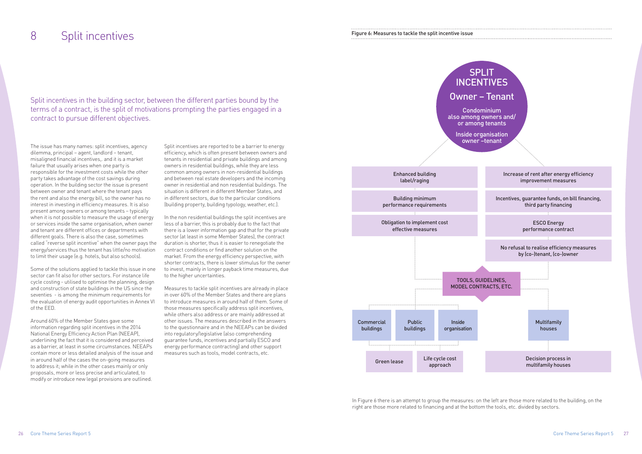Split incentives in the building sector, between the different parties bound by the terms of a contract, is the split of motivations prompting the parties engaged in a contract to pursue different objectives.

### 8 Split incentives

The issue has many names: split incentives, agency dilemma, principal – agent, landlord – tenant, misaligned financial incentives,. and it is a market failure that usually arises when one party is responsible for the investment costs while the other party takes advantage of the cost savings during operation. In the building sector the issue is present between owner and tenant where the tenant pays the rent and also the energy bill, so the owner has no interest in investing in efficiency measures. It is also present among owners or among tenants – typically when it is not possible to measure the usage of energy or services inside the same organisation, when owner and tenant are different offices or departments with different goals. There is also the case, sometimes called "reverse split incentive" when the owner pays the energy/services thus the tenant has little/no motivation to limit their usage (e.g. hotels, but also schools).

Some of the solutions applied to tackle this issue in one sector can fit also for other sectors. For instance life cycle costing - utilised to optimise the planning, design and construction of state buildings in the US since the seventies - is among the minimum requirements for the evaluation of energy audit opportunities in Annex VI of the EED.

Around 60% of the Member States gave some information regarding split incentives in the 2014 National Energy Efficiency Action Plan (NEEAP), underlining the fact that it is considered and perceived as a barrier, at least in some circumstances. NEEAPs contain more or less detailed analysis of the issue and in around half of the cases the on-going measures to address it; while in the other cases mainly or only proposals, more or less precise and articulated, to modify or introduce new legal provisions are outlined.

Split incentives are reported to be a barrier to energy efficiency, which is often present between owners and tenants in residential and private buildings and among owners in residential buildings, while they are less common among owners in non-residential buildings and between real estate developers and the incoming owner in residential and non residential buildings. The situation is different in different Member States, and in different sectors, due to the particular conditions (building property, building typology, weather, etc.).

In the non residential buildings the split incentives are less of a barrier, this is probably due to the fact that there is a lower information gap and that for the private sector (at least in some Member States), the contract duration is shorter, thus it is easier to renegotiate the contract conditions or find another solution on the market. From the energy efficiency perspective, with shorter contracts, there is lower stimulus for the owner to invest, mainly in longer payback time measures, due to the higher uncertainties.

Measures to tackle split incentives are already in place in over 60% of the Member States and there are plans to introduce measures in around half of them. Some of those measures specifically address split incentives, while others also address or are mainly addressed at other issues. The measures described in the answers to the questionnaire and in the NEEAPs can be divided into regulatory/legislative (also comprehending guarantee funds, incentives and partially ESCO and energy performance contracting) and other support measures such as tools, model contracts, etc.

Figure 6: Measures to tackle the split incentive issue



In Figure 6 there is an attempt to group the measures: on the left are those more related to the building, on the right are those more related to financing and at the bottom the tools, etc. divided by sectors.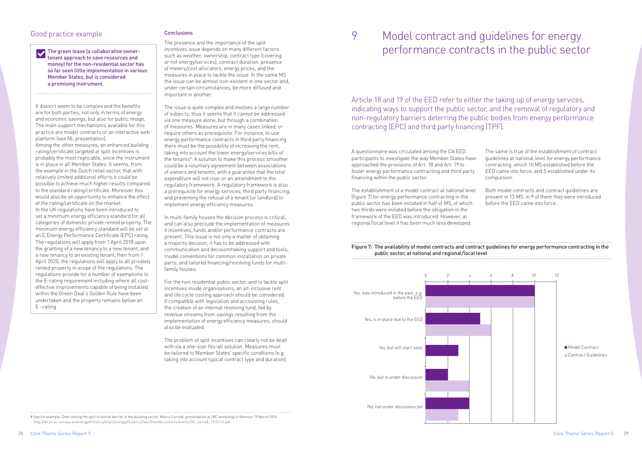### Good practice example

 The green lease (a collaborative ownertenant approach to save resources and money) for the non-residential sector has so far seen little implementation in various Member States, but is considered a promising instrument.

It doesn't seem to be complex and the benefits are for both parties, not only in terms of energy and economic savings, but also for public image. The main support mechanisms available for this practice are model contracts or an interactive web platform (see NL presentation).

Among the other measures, an enhanced building rating/certificate targeted at split incentives is probably the most replicable, since the instrument is in place in all Member States. It seems, from the example in the Dutch retail sector, that with relatively limited additional efforts it could be possible to achieve much higher results compared to the standard rating/certificate. Moreover this would also be an opportunity to enhance the effect of the rating/certificate on the market. In the UK regulations have been introduced to set a minimum energy efficiency standard for all categories of domestic private rented property. The minimum energy efficiency standard will be set at an E Energy Performance Certificate (EPC) rating. The regulations will apply from 1 April 2018 upon the granting of a new tenancy to a new tenant, and a new tenancy to an existing tenant, then from 1 April 2020, the regulations will apply to all privately rented property in scope of the regulations. The regulations provide for a number of exemptions to the E-rating requirement including where all costeffective improvements capable of being installed within the Green Deal's Golden Rule have been undertaken and the property remains below an E –rating.

### **Conclusions**

The presence and the importance of the split incentives issue depends on many different factors such as weather, ownership, contract type (covering or not energy/services), contract duration, presence of meters/cost allocators, energy prices, and the measures in place to tackle the issue. In the same MS the issue can be almost non-existent in one sector and, under certain circumstances, be more diffused and important in another.

The issue is quite complex and involves a large number of subjects, thus it seems that it cannot be addressed via one measure alone, but through a combination of measures. Measures are in many cases linked, or require others as prerequisite. For instance, to use energy performance contracts in third party financing there must be the possibility of increasing the rent, taking into account the lower energy/services bills of the tenants<sup>8</sup>. A solution to make this process smoother could be a voluntary agreement between associations of owners and tenants, with a guarantee that the total expenditure will not rise; or an amendment to the regulatory framework. A regulatory framework is also a prerequisite for energy services, third party financing, and preventing the refusal of a tenant (or landlord) to implement energy efficiency measures.

In multi-family houses the decision process is critical, and can also preclude the implementation of measures if incentives, funds and/or performance contracts are present. This issue is not only a matter of obtaining a majority decision, it has to be addressed with communication and decisionmaking support and tools, model conventions for common installation on private parts, and tailored financing/revolving funds for multifamily houses.

For the non residential public sector, and to tackle split incentives inside organisations, an all-inclusive rent and life cycle costing approach should be considered. If compatible with legislation and accounting rules, the creation of an internal revolving fund, fed by revenue streams from savings resulting from the implementation of energy efficiency measures, should also be evaluated.

The problem of split incentives can clearly not be dealt with via a one-size-fits-all solution. Measures must be tailored to Member States' specific conditions (e.g. taking into account typical contract type and duration).

## 9 Model contract and guidelines for energy performance contracts in the public sector

A questionnaire was circulated among the CA EED participants to investigate the way Member States have approached the provisions of Art. 18 and Art. 19 to foster energy performance contracting and third party financing within the public sector.

The establishment of a model contract at national level (figure 7) for energy performance contracting in the public sector has been initiated in half of MS, of which two thirds were initiated before the obligation in the framework of the EED was introduced. However, at regional/local level it has been much less developed.

The same is true of the establishment of contract guidelines at national level for energy performance contracting, which 10 MS established before the EED came into force, and 5 established under its compulsion.

Both model contracts and contract guidelines are present in 13 MS, in 9 of them they were introduced before the EED came into force.

Article 18 and 19 of the EED refer to either the taking up of energy services, indicating ways to support the public sector, and the removal of regulatory and non-regulatory barriers deterring the public bodies from energy performance contracting (EPC) and third party financing (TPF).

8 See for example: Overcoming the split incentive barrier in the building sector, Marco Corradi, presentation at JRC workshop in Namour 19 March 2014 http://iet.jrc.ec.europa.eu/energyefficiency/sites/energyefficiency/files/files/documents/events/03\_corradi\_13.03.14.pdf

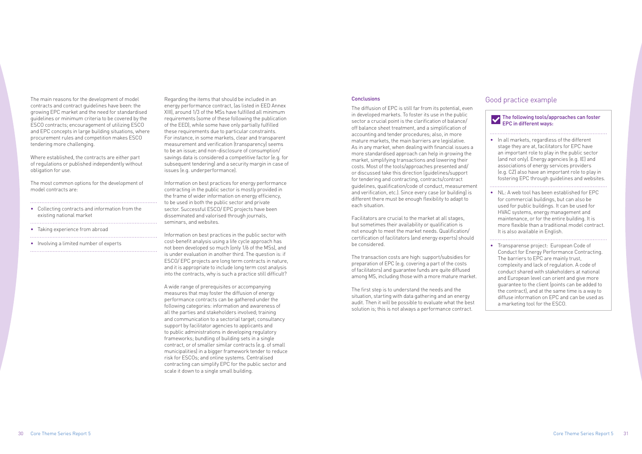The main reasons for the development of model contracts and contract guidelines have been: the growing EPC market and the need for standardised guidelines or minimum criteria to be covered by the ESCO contracts; encouragement of utilizing ESCO and EPC concepts in large building situations, where procurement rules and competition makes ESCO tendering more challenging.

- Taking experience from abroad
- Involving a limited number of experts

Where established, the contracts are either part of regulations or published independently without obligation for use.

The most common options for the development of model contracts are:

• Collecting contracts and information from the existing national market

Regarding the items that should be included in an energy performance contract, (as listed in EED Annex XIII), around 1/3 of the MSs have fulfilled all minimum requirements (some of these following the publication of the EED), while some have only partially fulfilled these requirements due to particular constraints. For instance, in some markets, clear and transparent measurement and verification (transparency) seems to be an issue; and non-disclosure of consumption/ savings data is considered a competitive factor (e.g. for subsequent tendering) and a security margin in case of issues (e.g. underperformance).

Information on best practices for energy performance contracting in the public sector is mostly provided in the frame of wider information on energy efficiency, to be used in both the public sector and private sector. Successful ESCO/ EPC projects have been disseminated and valorised through journals, seminars, and websites.

Information on best practices in the public sector with cost-benefit analysis using a life cycle approach has not been developed so much (only 1/6 of the MSs), and is under evaluation in another third. The question is: if ESCO/ EPC projects are long term contracts in nature, and it is appropriate to include long term cost analysis into the contracts, why is such a practice still difficult?

A wide range of prerequisites or accompanying measures that may foster the diffusion of energy performance contracts can be gathered under the following categories: information and awareness of all the parties and stakeholders involved; training and communication to a sectorial target; consultancy support by facilitator agencies to applicants and to public administrations in developing regulatory frameworks; bundling of building sets in a single contract, or of smaller similar contracts (e.g. of small municipalities) in a bigger framework tender to reduce risk for ESCOs; and online systems. Centralised contracting can simplify EPC for the public sector and scale it down to a single small building.

#### **Conclusions**

### Good practice example

| The following tools/approaches can foster<br><b>EPC in different ways:</b> |                                                                                                                                                                                                                                                                                                                                                                                                                                                                        |  |
|----------------------------------------------------------------------------|------------------------------------------------------------------------------------------------------------------------------------------------------------------------------------------------------------------------------------------------------------------------------------------------------------------------------------------------------------------------------------------------------------------------------------------------------------------------|--|
|                                                                            | In all markets, regardless of the different<br>stage they are at, facilitators for EPC have<br>an important role to play in the public sector<br>(and not only). Energy agencies (e.g. IE) and<br>associations of energy services providers<br>(e.g. CZ) also have an important role to play in<br>fostering EPC through guidelines and websites.                                                                                                                      |  |
|                                                                            | NL: A web tool has been established for EPC<br>for commercial buildings, but can also be<br>used for public buildings. It can be used for<br>HVAC systems, energy management and<br>maintenance, or for the entire building. It is<br>more flexible than a traditional model contract.<br>It is also available in English.                                                                                                                                             |  |
|                                                                            | Transparense project: European Code of<br>Conduct for Energy Performance Contracting.<br>The barriers to EPC are mainly trust,<br>complexity and lack of regulation. A code of<br>conduct shared with stakeholders at national<br>and European level can orient and give more<br>guarantee to the client (points can be added to<br>the contract), and at the same time is a way to<br>diffuse information on EPC and can be used as<br>a marketing tool for the ESCO. |  |

The diffusion of EPC is still far from its potential, even in developed markets. To foster its use in the public sector a crucial point is the clarification of balance/ off balance sheet treatment, and a simplification of accounting and tender procedures; also, in more mature markets, the main barriers are legislative. As in any market, when dealing with financial issues a more standardised approach can help in growing the market, simplifying transactions and lowering their costs. Most of the tools/approaches presented and/ or discussed take this direction (guidelines/support for tendering and contracting, contracts/contract guidelines, qualification/code of conduct, measurement and verification, etc.). Since every case (or building) is different there must be enough flexibility to adapt to each situation.

Facilitators are crucial to the market at all stages, but sometimes their availability or qualification is not enough to meet the market needs. Qualification/ certification of facilitators (and energy experts) should be considered.

The transaction costs are high: support/subsidies for preparation of EPC (e.g. covering a part of the costs of facilitators) and guarantee funds are quite diffused among MS, including those with a more mature market.

The first step is to understand the needs and the situation, starting with data gathering and an energy audit. Then it will be possible to evaluate what the best solution is; this is not always a performance contract.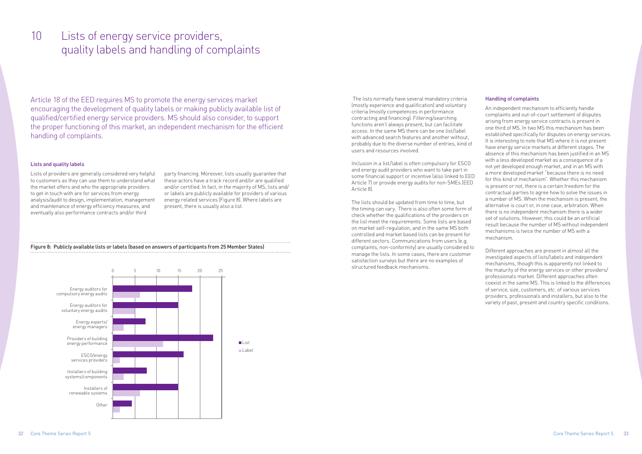Article 18 of the EED requires MS to promote the energy services market encouraging the development of quality labels or making publicly available list of qualified/certified energy service providers. MS should also consider, to support the proper functioning of this market, an independent mechanism for the efficient handling of complaints.

### 10 Lists of energy service providers, quality labels and handling of complaints

### Lists and quality labels

Lists of providers are generally considered very helpful to customers as they can use them to understand what the market offers and who the appropriate providers to get in touch with are for services from energy analysis/audit to design, implementation, management and maintenance of energy efficiency measures, and eventually also performance contracts and/or third

party financing. Moreover, lists usually guarantee that these actors have a track record and/or are qualified and/or certified. In fact, in the majority of MS, lists and/ or labels are publicly available for providers of various energy related services (Figure 8). Where labels are present, there is usually also a list.

Energy auditors for compulsory energy audits Energy auditors for voluntary energy audits Energy experts/ energy managers Providers of building energy performance ESCO/energy services providers Installers of building systems/components Installers of renewable systems Other 0 5 10 15 20 25 **List** Label

Figure 8: Publicly available lists or labels (based on answers of participants from 25 Member States)

 The lists normally have several mandatory criteria (mostly experience and qualification) and voluntary criteria (mostly competences in performance contracting and financing). Filtering/searching functions aren't always present, but can facilitate access. In the same MS there can be one list/label with advanced search features and another without, probably due to the diverse number of entries, kind of users and resources involved.

Inclusion in a list/label is often compulsory for ESCO and energy audit providers who want to take part in some financial support or incentive (also linked to EED Article 7) or provide energy audits for non-SMEs (EED Article 8).

The lists should be updated from time to time, but the timing can vary. There is also often some form of check whether the qualifications of the providers on the list meet the requirements. Some lists are based on market self-regulation, and in the same MS both controlled and market based lists can be present for different sectors. Communications from users (e.g. complaints, non-conformity) are usually considered to manage the lists. In some cases, there are customer satisfaction surveys but there are no examples of structured feedback mechanisms.

### Handling of complaints

An independent mechanism to efficiently handle complaints and out-of-court settlement of disputes arising from energy service contracts is present in one third of MS. In two MS this mechanism has been established specifically for disputes on energy services. It is interesting to note that MS where it is not present have energy service markets at different stages. The absence of this mechanism has been justified in an MS with a less developed market as a consequence of a not yet developed enough market, and in an MS with a more developed market "because there is no need for this kind of mechanism". Whether this mechanism is present or not, there is a certain freedom for the contractual parties to agree how to solve the issues in a number of MS. When the mechanism is present, the alternative is court or, in one case, arbitration. When there is no independent mechanism there is a wider set of solutions. However, this could be an artificial result because the number of MS without independent mechanisms is twice the number of MS with a mechanism.

Different approaches are present in almost all the investigated aspects of lists/labels and independent mechanisms, though this is apparently not linked to the maturity of the energy services or other providers/ professionals market. Different approaches often coexist in the same MS. This is linked to the differences of service, size, customers, etc. of various services providers, professionals and installers, but also to the variety of past, present and country specific conditions.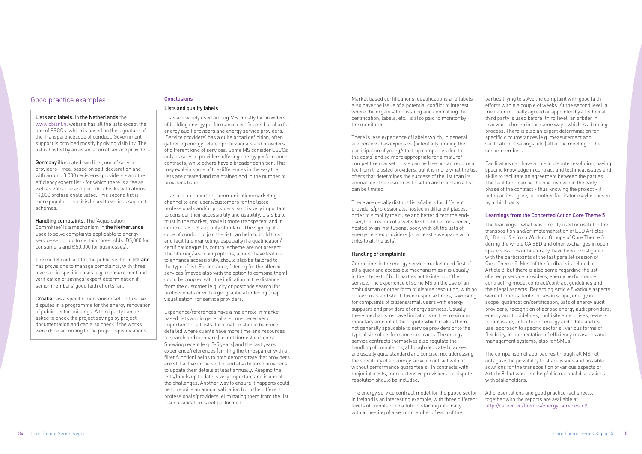### Good practice examples

### Lists and labels. In the Netherlands the

www.qbisnl.nl website has all the lists except the one of ESCOs, which is based on the signature of the Transparencecode of conduct. Government support is provided mostly by giving visibility. The list is hosted by an association of service providers.

**Germany** illustrated two lists, one of service providers - free, based on self-declaration and with around 3,000 registered providers - and the efficiency expert list - for which there is a fee as well as entrance and periodic checks with almost 14,000 professionals listed. This second list is more popular since it is linked to various support schemes.

Handling complaints. The 'Adjudication Committee' is a mechanism in the Netherlands used to solve complaints applicable to energy service sector up to certain thresholds (Đ5,000 for consumers and £50,000 for businesses).

The model contract for the public sector in **Ireland** has provisions to manage complaints, with three levels or in specific cases (e.g. measurement and verification of savings) expert determination if senior members' good faith efforts fail.

Croatia has a specific mechanism set up to solve disputes in a programme for the energy renovation of public sector buildings. A third party can be asked to check the project savings by project documentation and can also check if the works were done according to the project specifications.

### Conclusions

### Lists and quality labels

Lists are widely used among MS, mostly for providers of building energy performance certificates but also for energy audit providers and energy service providers. 'Service providers' has a quite broad definition, often gathering energy related professionals and providers of different kind of services. Some MS consider ESCOs only as service providers offering energy performance contracts, while others have a broader definition. This may explain some of the differences in the way the lists are created and maintained and in the number of providers listed.

Lists are an important communication/marketing channel to end-users/customers for the listed professionals and/or providers, so it is very important to consider their accessibility and usability. Lists build trust in the market, make it more transparent and in some cases set a quality standard. The signing of a code of conduct to join the list can help to build trust and facilitate marketing, especially if a qualification/ certification/quality control scheme are not present. The filtering/searching options, a must-have feature to enhance accessibility, should also be tailored to the type of list. For instance, filtering for the offered services (maybe also with the option to combine them) could be coupled with the indication of the distance from the customer (e.g. city or postcode search) for professionals or with a geographical indexing (map visualisation) for service providers.

Experience/references have a major role in marketbased lists and in general are considered very important for all lists. Information should be more detailed where clients have more time and resources to search and compare (i.e. not domestic clients). Showing recent (e.g. 3-5 years) and the last years' experience/references (limiting the timespan or with a filter function) helps to both demonstrate that providers are still active in the sector and also to force providers to update their details at least annually. Keeping the lists/labels up to date is very important and is one of the challenges. Another way to ensure it happens could be to require an annual validation from the different professionals/providers, eliminating them from the list if such validation is not performed.

Market based certifications, qualifications and labels also have the issue of a potential conflict of interest where the organisation issuing and controlling the certification, labels, etc., is also paid to monitor by the monitored.

There is less experience of labels which, in general, are perceived as expensive (potentially limiting the participation of young/start-up companies due to the costs) and so more appropriate for a mature/ competitive market,. Lists can be free or can require a fee from the listed providers, but it is more what the list offers that determines the success of the list than its annual fee. The resources to setup and maintain a list can be limited.

There are usually distinct lists/labels for different providers/professionals, hosted in different places. In order to simplify their use and better direct the enduser, the creation of a website should be considered, hosted by an institutional body, with all the lists of energy related providers (or at least a webpage with links to all the lists).

### Handling of complaints

Complaints in the energy service market need first of all a quick and accessible mechanism as it is usually in the interest of both parties not to interrupt the service. The experience of some MS on the use of an ombudsman or other form of dispute resolution, with no or low costs and short, fixed response times, is working for complaints of citizens/small users with energy suppliers and providers of energy services. Usually these mechanisms have limitations on the maximum monetary amount of the dispute which makes them not generally applicable to service providers or to the typical size of performance contracts. The energy service contracts themselves also regulate the handling of complaints, although dedicated clauses are usually quite standard and concise, not addressing the specificity of an energy service contract with or without performance guarantee(s). In contracts with major interests, more extensive provisions for dispute resolution should be included.

The energy service contract model for the public sector in Ireland is an interesting example, with three different levels of complaint resolution, starting internally with a meeting of a senior member of each of the

parties trying to solve the complaint with good faith efforts within a couple of weeks. At the second level, a mediator mutually agreed or appointed by a technical third party is used before (third level) an arbiter in involved – chosen in the same way - which is a binding process. There is also an expert determination for specific circumstances (e.g. measurement and verification of savings, etc.) after the meeting of the senior members.

Facilitators can have a role in dispute resolution, having specific knowledge in contract and technical issues and skills to facilitate an agreement between the parties. The facilitator can be the one involved in the early phase of the contract - thus knowing the project - if both parties agree, or another facilitator maybe chosen by a third party.

### Learnings from the Concerted Action Core Theme 5

The learnings - what was directly used or useful in the transposition and/or implementation of EED Articles 8, 18 and 19 - from Working Groups of Core Theme 5 during the whole CA EED and other exchanges in open space sessions or bilaterally, have been investigated with the participants of the last parallel session of Core Theme 5. Most of the feedback is related to Article 8, but there is also some regarding the list of energy service providers, energy performance contracting model contract/contract guidelines and their legal aspects. Regarding Article 8 various aspects were of interest (enterprises in scope, energy in scope, qualification/certification, lists of energy audit providers, recognition of abroad energy audit providers, energy audit guidelines, multisite enterprises, ownertenant issue, collection of energy audit data and its use, approach to specific sector(s), various forms of flexibility, implementation of efficiency measures and management systems, also for SMEs).

The comparison of approaches through all MS not only gave the possibility to share issues and possible solutions for the transposition of various aspects of Article 8, but was also helpful in national discussions with stakeholders.

All presentations and good practice fact sheets, together with the reports are available at: http://ca-eed.eu/themes/energy-services-ct5